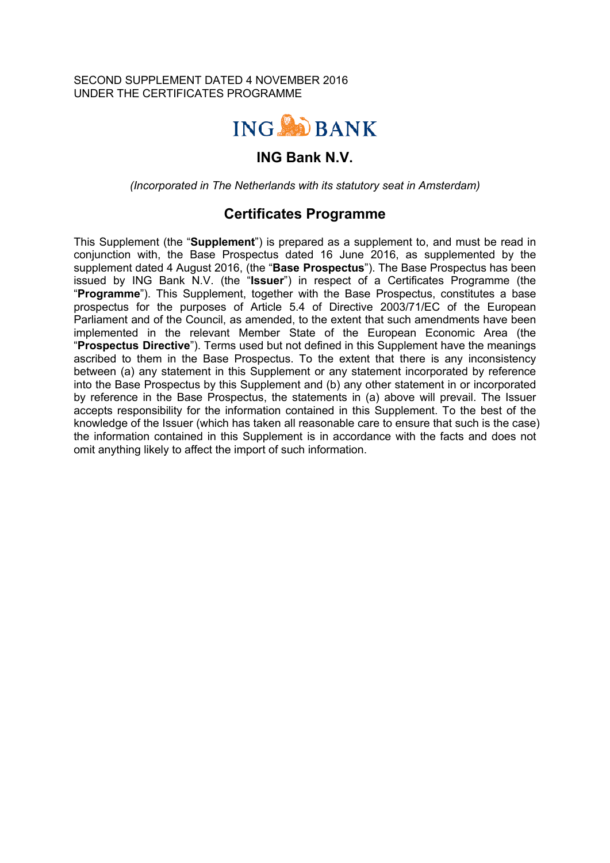#### SECOND SUPPLEMENT DATED 4 NOVEMBER 2016 UNDER THE CERTIFICATES PROGRAMME



# **ING Bank N.V.**

*(Incorporated in The Netherlands with its statutory seat in Amsterdam)*

# **Certificates Programme**

This Supplement (the "**Supplement**") is prepared as a supplement to, and must be read in conjunction with, the Base Prospectus dated 16 June 2016, as supplemented by the supplement dated 4 August 2016, (the "**Base Prospectus**"). The Base Prospectus has been issued by ING Bank N.V. (the "**Issuer**") in respect of a Certificates Programme (the "**Programme**"). This Supplement, together with the Base Prospectus, constitutes a base prospectus for the purposes of Article 5.4 of Directive 2003/71/EC of the European Parliament and of the Council, as amended, to the extent that such amendments have been implemented in the relevant Member State of the European Economic Area (the "**Prospectus Directive**"). Terms used but not defined in this Supplement have the meanings ascribed to them in the Base Prospectus. To the extent that there is any inconsistency between (a) any statement in this Supplement or any statement incorporated by reference into the Base Prospectus by this Supplement and (b) any other statement in or incorporated by reference in the Base Prospectus, the statements in (a) above will prevail. The Issuer accepts responsibility for the information contained in this Supplement. To the best of the knowledge of the Issuer (which has taken all reasonable care to ensure that such is the case) the information contained in this Supplement is in accordance with the facts and does not omit anything likely to affect the import of such information.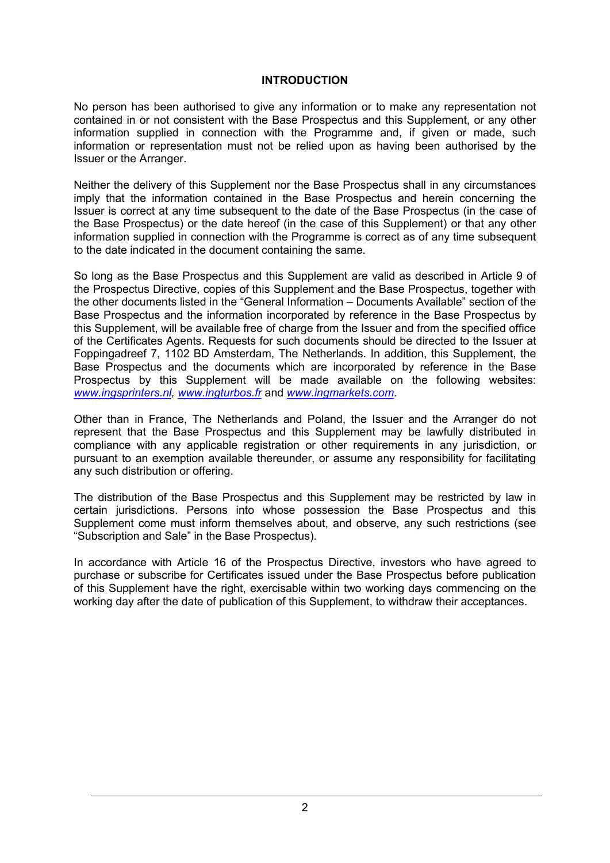#### **INTRODUCTION**

No person has been authorised to give any information or to make any representation not contained in or not consistent with the Base Prospectus and this Supplement, or any other information supplied in connection with the Programme and, if given or made, such information or representation must not be relied upon as having been authorised by the Issuer or the Arranger.

Neither the delivery of this Supplement nor the Base Prospectus shall in any circumstances imply that the information contained in the Base Prospectus and herein concerning the Issuer is correct at any time subsequent to the date of the Base Prospectus (in the case of the Base Prospectus) or the date hereof (in the case of this Supplement) or that any other information supplied in connection with the Programme is correct as of any time subsequent to the date indicated in the document containing the same.

So long as the Base Prospectus and this Supplement are valid as described in Article 9 of the Prospectus Directive, copies of this Supplement and the Base Prospectus, together with the other documents listed in the "General Information – Documents Available" section of the Base Prospectus and the information incorporated by reference in the Base Prospectus by this Supplement, will be available free of charge from the Issuer and from the specified office of the Certificates Agents. Requests for such documents should be directed to the Issuer at Foppingadreef 7, 1102 BD Amsterdam, The Netherlands. In addition, this Supplement, the Base Prospectus and the documents which are incorporated by reference in the Base Prospectus by this Supplement will be made available on the following websites: *www.ingsprinters.nl, www.ingturbos.fr* and *www.ingmarkets.com*.

Other than in France, The Netherlands and Poland, the Issuer and the Arranger do not represent that the Base Prospectus and this Supplement may be lawfully distributed in compliance with any applicable registration or other requirements in any jurisdiction, or pursuant to an exemption available thereunder, or assume any responsibility for facilitating any such distribution or offering.

The distribution of the Base Prospectus and this Supplement may be restricted by law in certain jurisdictions. Persons into whose possession the Base Prospectus and this Supplement come must inform themselves about, and observe, any such restrictions (see "Subscription and Sale" in the Base Prospectus).

In accordance with Article 16 of the Prospectus Directive, investors who have agreed to purchase or subscribe for Certificates issued under the Base Prospectus before publication of this Supplement have the right, exercisable within two working days commencing on the working day after the date of publication of this Supplement, to withdraw their acceptances.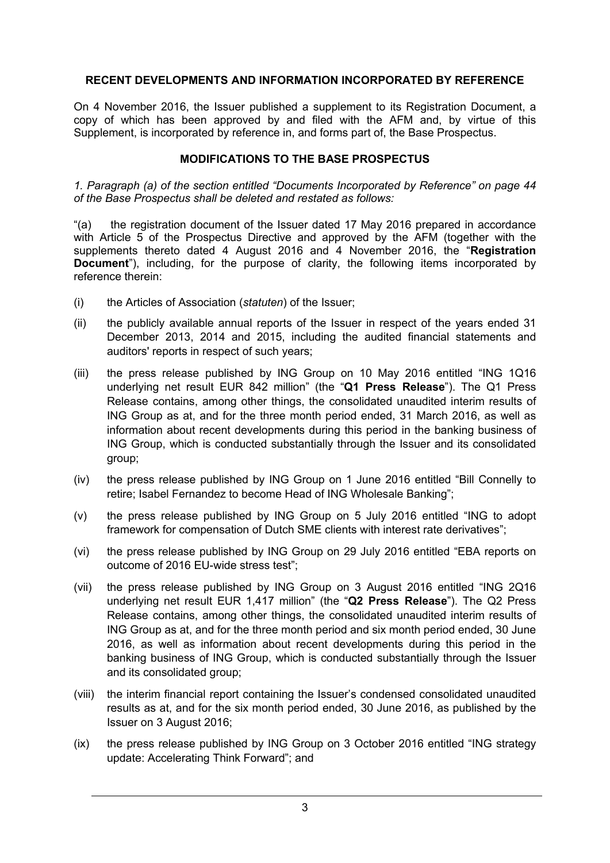### **RECENT DEVELOPMENTS AND INFORMATION INCORPORATED BY REFERENCE**

On 4 November 2016, the Issuer published a supplement to its Registration Document, a copy of which has been approved by and filed with the AFM and, by virtue of this Supplement, is incorporated by reference in, and forms part of, the Base Prospectus.

## **MODIFICATIONS TO THE BASE PROSPECTUS**

*1. Paragraph (a) of the section entitled "Documents Incorporated by Reference" on page 44 of the Base Prospectus shall be deleted and restated as follows:*

"(a) the registration document of the Issuer dated 17 May 2016 prepared in accordance with Article 5 of the Prospectus Directive and approved by the AFM (together with the supplements thereto dated 4 August 2016 and 4 November 2016, the "**Registration Document**"), including, for the purpose of clarity, the following items incorporated by reference therein:

- (i) the Articles of Association (*statuten*) of the Issuer;
- (ii) the publicly available annual reports of the Issuer in respect of the years ended 31 December 2013, 2014 and 2015, including the audited financial statements and auditors' reports in respect of such years;
- (iii) the press release published by ING Group on 10 May 2016 entitled "ING 1Q16 underlying net result EUR 842 million" (the "**Q1 Press Release**"). The Q1 Press Release contains, among other things, the consolidated unaudited interim results of ING Group as at, and for the three month period ended, 31 March 2016, as well as information about recent developments during this period in the banking business of ING Group, which is conducted substantially through the Issuer and its consolidated group;
- (iv) the press release published by ING Group on 1 June 2016 entitled "Bill Connelly to retire; Isabel Fernandez to become Head of ING Wholesale Banking";
- (v) the press release published by ING Group on 5 July 2016 entitled "ING to adopt framework for compensation of Dutch SME clients with interest rate derivatives";
- (vi) the press release published by ING Group on 29 July 2016 entitled "EBA reports on outcome of 2016 EU-wide stress test";
- (vii) the press release published by ING Group on 3 August 2016 entitled "ING 2Q16 underlying net result EUR 1,417 million" (the "**Q2 Press Release**"). The Q2 Press Release contains, among other things, the consolidated unaudited interim results of ING Group as at, and for the three month period and six month period ended, 30 June 2016, as well as information about recent developments during this period in the banking business of ING Group, which is conducted substantially through the Issuer and its consolidated group;
- (viii) the interim financial report containing the Issuer's condensed consolidated unaudited results as at, and for the six month period ended, 30 June 2016, as published by the Issuer on 3 August 2016;
- (ix) the press release published by ING Group on 3 October 2016 entitled "ING strategy update: Accelerating Think Forward"; and